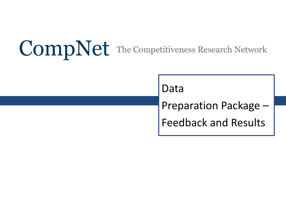# **CompNet** The Competitiveness Research Network

Data

Preparation Package – Feedback and Results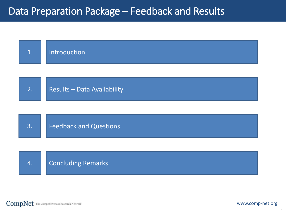### Data Preparation Package – Feedback and Results

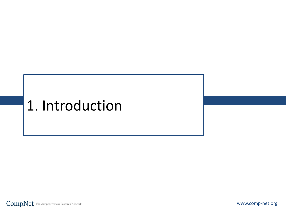# 1. Introduction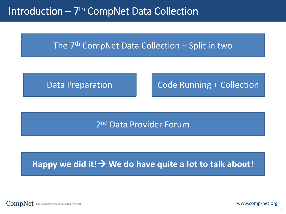Introduction – 7<sup>th</sup> CompNet Data Collection

### The  $7<sup>th</sup>$  CompNet Data Collection – Split in two

Data Preparation

Code Running + Collection

### 2nd Data Provider Forum

### Happy we did it! > We do have quite a lot to talk about!

**CompNet** The Competitiveness Research Network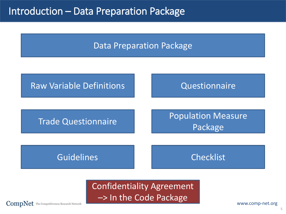### Introduction – Data Preparation Package

Data Preparation Package



Confidentiality Agreement –> In the Code Package

**CompNet** The Competitiveness Research Network

www.comp-net.org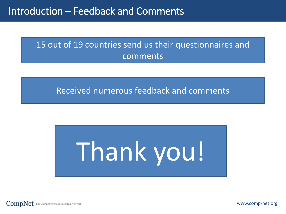### 15 out of 19 countries send us their questionnaires and comments

### Received numerous feedback and comments



**CompNet** The Competitiveness Research Network

www.comp-net.org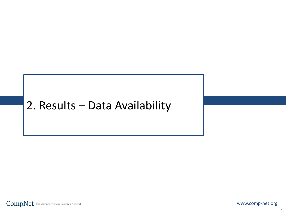# 2. Results – Data Availability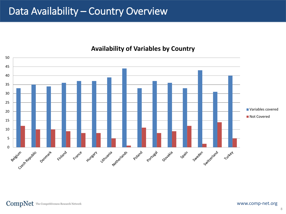### Data Availability – Country Overview



#### **Availability of Variables by Country**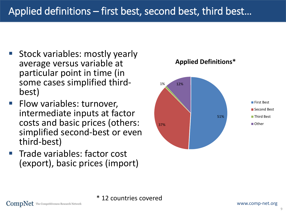- **Stock variables: mostly yearly** average versus variable at particular point in time (in some cases simplified third-<br>best)
- **Filow variables: turnover,** intermediate inputs at factor costs and basic prices (others: simplified second-best or even third-best)
- **Trade variables: factor cost** (export), basic prices (import)



#### **Applied Definitions\***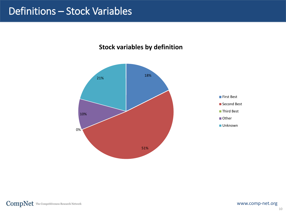### Definitions – Stock Variables

#### **Stock variables by definition**

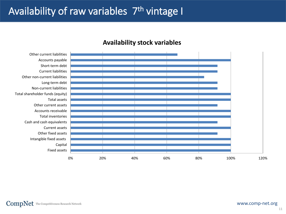## Availability of raw variables 7<sup>th</sup> vintage I

#### **Availability stock variables**

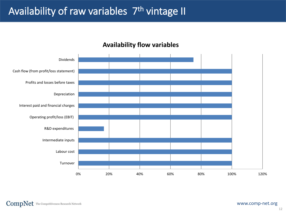# Availability of raw variables 7<sup>th</sup> vintage II

#### **Availability flow variables**

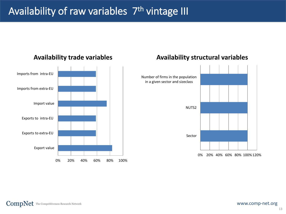# Availability of raw variables 7<sup>th</sup> vintage III



#### **Availability trade variables**

#### **Availability structural variables**

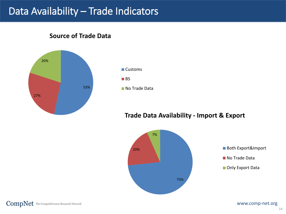### Data Availability – Trade Indicators

53% 27% 20%

#### **Source of Trade Data**



#### **Trade Data Availability - Import & Export**

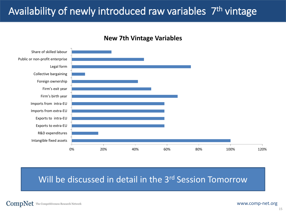# Availability of newly introduced raw variables 7<sup>th</sup> vintage



#### **New 7th Vintage Variables**

### Will be discussed in detail in the 3<sup>rd</sup> Session Tomorrow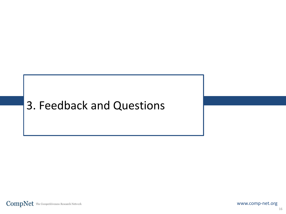# 3. Feedback and Questions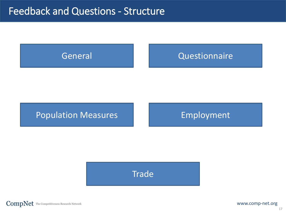

### Population Measures **Employment**

### **Trade**

 $CompNet$  The Competitiveness Research Network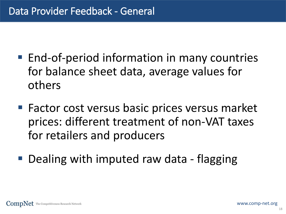- End-of-period information in many countries for balance sheet data, average values for others
- Factor cost versus basic prices versus market prices: different treatment of non-VAT taxes for retailers and producers
- Dealing with imputed raw data flagging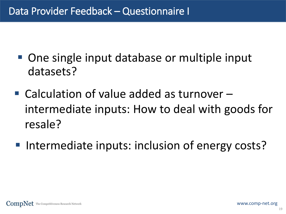- One single input database or multiple input datasets?
- Calculation of value added as turnover intermediate inputs: How to deal with goods for resale?
- Intermediate inputs: inclusion of energy costs?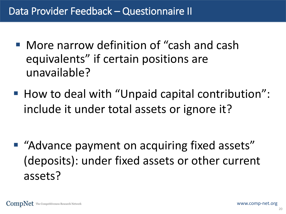- More narrow definition of "cash and cash equivalents" if certain positions are unavailable?
- How to deal with "Unpaid capital contribution": include it under total assets or ignore it?

■ "Advance payment on acquiring fixed assets" (deposits): under fixed assets or other current assets?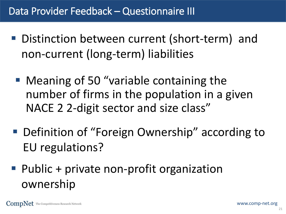- Distinction between current (short-term) and non-current (long-term) liabilities
	- Meaning of 50 "variable containing the number of firms in the population in a given NACE 2 2-digit sector and size class"
- Definition of "Foreign Ownership" according to EU regulations?
- Public + private non-profit organization ownership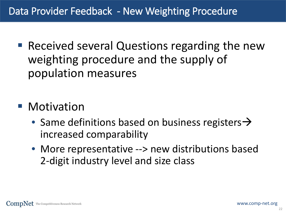- Received several Questions regarding the new weighting procedure and the supply of population measures
- **Motivation** 
	- Same definitions based on business registers  $\rightarrow$ increased comparability
	- More representative --> new distributions based 2-digit industry level and size class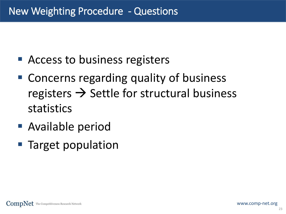- Access to business registers
- Concerns regarding quality of business registers  $\rightarrow$  Settle for structural business statistics
- Available period
- **Target population**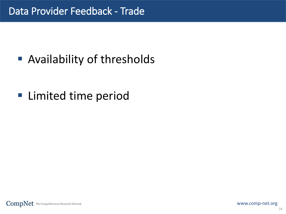■ Availability of thresholds

**Example 1** Limited time period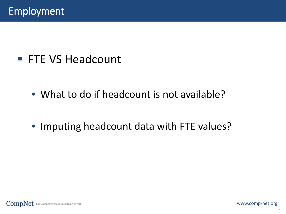# ■ FTE VS Headcount

- What to do if headcount is not available?
- Imputing headcount data with FTE values?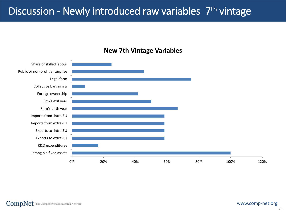# Discussion - Newly introduced raw variables 7<sup>th</sup> vintage



#### **New 7th Vintage Variables**

 $CompNet$  The Competitiveness Research Network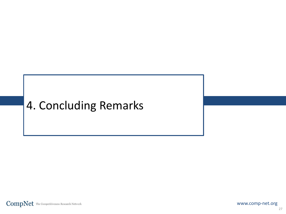# 4. Concluding Remarks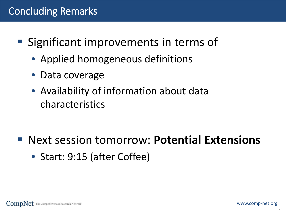# Concluding Remarks

- Significant improvements in terms of
	- Applied homogeneous definitions
	- Data coverage
	- Availability of information about data characteristics

- Next session tomorrow: **Potential Extensions**
	- Start: 9:15 (after Coffee)